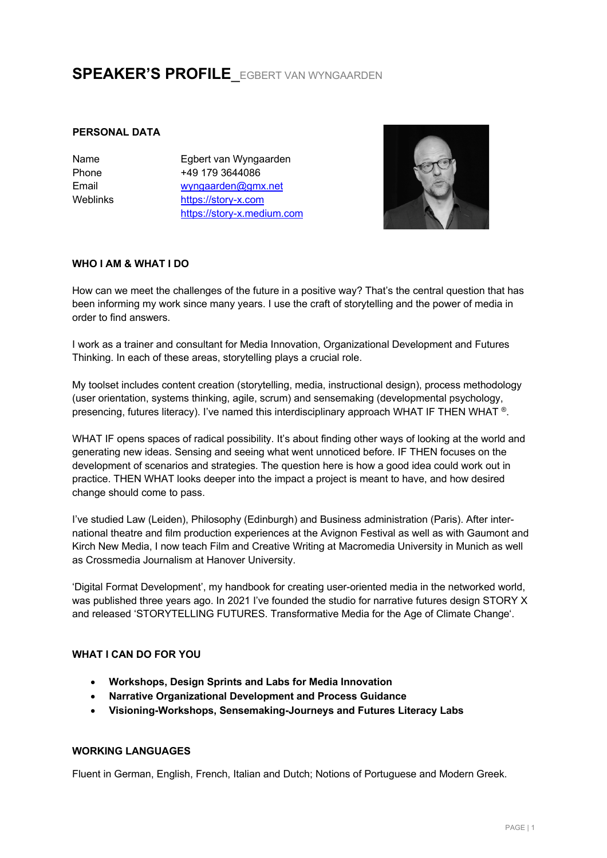# **SPEAKER'S PROFILE**\_EGBERT VAN WYNGAARDEN

# **PERSONAL DATA**

Name Phone Email Weblinks Egbert van Wyngaarden +49 179 3644086 wyngaarden@gmx.net https://story-x.com https://story-x.medium.com



## **WHO I AM & WHAT I DO**

How can we meet the challenges of the future in a positive way? That's the central question that has been informing my work since many years. I use the craft of storytelling and the power of media in order to find answers.

I work as a trainer and consultant for Media Innovation, Organizational Development and Futures Thinking. In each of these areas, storytelling plays a crucial role.

My toolset includes content creation (storytelling, media, instructional design), process methodology (user orientation, systems thinking, agile, scrum) and sensemaking (developmental psychology, presencing, futures literacy). I've named this interdisciplinary approach WHAT IF THEN WHAT ®.

WHAT IF opens spaces of radical possibility. It's about finding other ways of looking at the world and generating new ideas. Sensing and seeing what went unnoticed before. IF THEN focuses on the development of scenarios and strategies. The question here is how a good idea could work out in practice. THEN WHAT looks deeper into the impact a project is meant to have, and how desired change should come to pass.

I've studied Law (Leiden), Philosophy (Edinburgh) and Business administration (Paris). After international theatre and film production experiences at the Avignon Festival as well as with Gaumont and Kirch New Media, I now teach Film and Creative Writing at Macromedia University in Munich as well as Crossmedia Journalism at Hanover University.

'Digital Format Development', my handbook for creating user-oriented media in the networked world, was published three years ago. In 2021 I've founded the studio for narrative futures design STORY X and released 'STORYTELLING FUTURES. Transformative Media for the Age of Climate Change'.

# **WHAT I CAN DO FOR YOU**

- **Workshops, Design Sprints and Labs for Media Innovation**
- **Narrative Organizational Development and Process Guidance**
- **Visioning-Workshops, Sensemaking-Journeys and Futures Literacy Labs**

# **WORKING LANGUAGES**

Fluent in German, English, French, Italian and Dutch; Notions of Portuguese and Modern Greek.